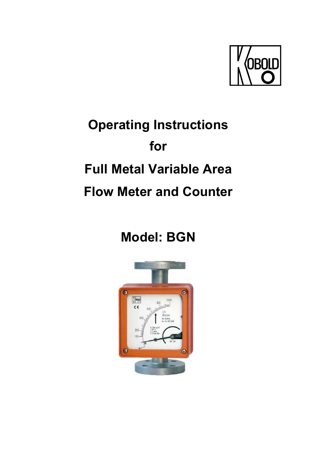

# **Operating Instructions for Full Metal Variable Area Flow Meter and Counter**

# **Model: BGN**

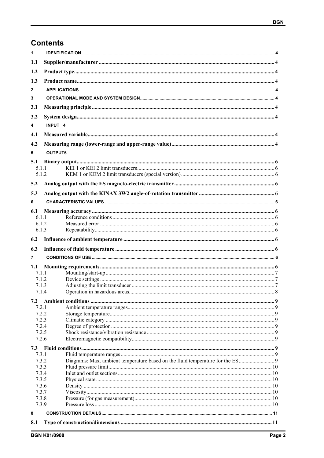## **Contents**

| 1              |                    |  |  |  |  |  |
|----------------|--------------------|--|--|--|--|--|
| 1.1            |                    |  |  |  |  |  |
| 1.2            |                    |  |  |  |  |  |
| 1.3            |                    |  |  |  |  |  |
|                |                    |  |  |  |  |  |
| $\mathbf{2}$   |                    |  |  |  |  |  |
| 3              |                    |  |  |  |  |  |
| 3.1            |                    |  |  |  |  |  |
| 3.2            |                    |  |  |  |  |  |
| 4              | INPUT <sub>4</sub> |  |  |  |  |  |
| 4.1            |                    |  |  |  |  |  |
|                |                    |  |  |  |  |  |
| 4.2            |                    |  |  |  |  |  |
| 5              | OUTPUT6            |  |  |  |  |  |
| 5.1            |                    |  |  |  |  |  |
| 5.1.1          |                    |  |  |  |  |  |
| 5.1.2          |                    |  |  |  |  |  |
| 5.2            |                    |  |  |  |  |  |
| 5.3            |                    |  |  |  |  |  |
| 6              |                    |  |  |  |  |  |
| 6.1            |                    |  |  |  |  |  |
| 6.1.1          |                    |  |  |  |  |  |
| 6.1.2          |                    |  |  |  |  |  |
| 6.1.3          |                    |  |  |  |  |  |
| 6.2            |                    |  |  |  |  |  |
| 6.3            |                    |  |  |  |  |  |
|                |                    |  |  |  |  |  |
| 7              |                    |  |  |  |  |  |
| 7.1<br>7.1.1   |                    |  |  |  |  |  |
| 7.1.2          |                    |  |  |  |  |  |
| 7.1.3          |                    |  |  |  |  |  |
| 7.1.4          |                    |  |  |  |  |  |
| 7.2            |                    |  |  |  |  |  |
| 7.2.1          |                    |  |  |  |  |  |
| 7.2.2          |                    |  |  |  |  |  |
| 7.2.3          |                    |  |  |  |  |  |
| 7.2.4          |                    |  |  |  |  |  |
| 7.2.5          |                    |  |  |  |  |  |
| 7.2.6          |                    |  |  |  |  |  |
|                |                    |  |  |  |  |  |
| 7.3.1          |                    |  |  |  |  |  |
| 7.3.2          |                    |  |  |  |  |  |
| 7.3.3<br>7.3.4 |                    |  |  |  |  |  |
| 7.3.5          |                    |  |  |  |  |  |
| 7.3.6          |                    |  |  |  |  |  |
| 7.3.7          |                    |  |  |  |  |  |
| 7.3.8          |                    |  |  |  |  |  |
| 7.3.9          |                    |  |  |  |  |  |
| 8              |                    |  |  |  |  |  |
| 8.1            |                    |  |  |  |  |  |
|                |                    |  |  |  |  |  |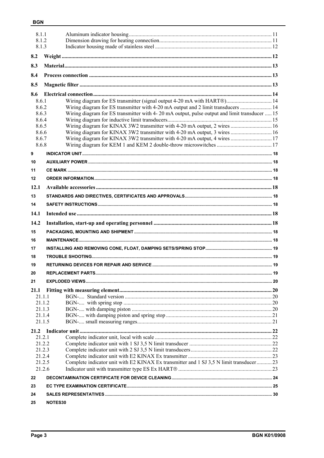|                  | 8.1.1<br>8.1.2<br>8.1.3                                                                            |  |  |  |  |  |
|------------------|----------------------------------------------------------------------------------------------------|--|--|--|--|--|
|                  |                                                                                                    |  |  |  |  |  |
| 8.2              |                                                                                                    |  |  |  |  |  |
| 8.3              |                                                                                                    |  |  |  |  |  |
| 8.4              |                                                                                                    |  |  |  |  |  |
| 8.5              |                                                                                                    |  |  |  |  |  |
| 8.6              |                                                                                                    |  |  |  |  |  |
| 8.6.1            | Wiring diagram for ES transmitter (signal output 4-20 mA with HART®) 14                            |  |  |  |  |  |
| 8.6.2            | Wiring diagram for ES transmitter with 4-20 mA output and 2 limit transducers  14                  |  |  |  |  |  |
| 8.6.3<br>8.6.4   | Wiring diagram for ES transmitter with 4-20 mA output, pulse output and limit transducer  15       |  |  |  |  |  |
| 8.6.5            | Wiring diagram for KINAX 3W2 transmitter with 4-20 mA output, 2 wires  16                          |  |  |  |  |  |
| 8.6.6            | Wiring diagram for KINAX 3W2 transmitter with 4-20 mA output, 3 wires  16                          |  |  |  |  |  |
| 8.6.7            | Wiring diagram for KINAX 3W2 transmitter with 4-20 mA output, 4 wires  17                          |  |  |  |  |  |
| 8.6.8            |                                                                                                    |  |  |  |  |  |
| 9                |                                                                                                    |  |  |  |  |  |
| 10               |                                                                                                    |  |  |  |  |  |
| 11               |                                                                                                    |  |  |  |  |  |
| 12               |                                                                                                    |  |  |  |  |  |
| 12.1             |                                                                                                    |  |  |  |  |  |
| 13               |                                                                                                    |  |  |  |  |  |
| 14               |                                                                                                    |  |  |  |  |  |
| 14.1             |                                                                                                    |  |  |  |  |  |
| 14.2             |                                                                                                    |  |  |  |  |  |
| 15               |                                                                                                    |  |  |  |  |  |
| 16               |                                                                                                    |  |  |  |  |  |
| 17               |                                                                                                    |  |  |  |  |  |
|                  |                                                                                                    |  |  |  |  |  |
| 18               |                                                                                                    |  |  |  |  |  |
| 19               |                                                                                                    |  |  |  |  |  |
| 20               |                                                                                                    |  |  |  |  |  |
| 21               |                                                                                                    |  |  |  |  |  |
| 21.1             |                                                                                                    |  |  |  |  |  |
|                  | 21.1.1<br>21.1.2                                                                                   |  |  |  |  |  |
|                  | 21.1.3                                                                                             |  |  |  |  |  |
|                  | 21.1.4                                                                                             |  |  |  |  |  |
|                  | 21.1.5                                                                                             |  |  |  |  |  |
| 21.2             |                                                                                                    |  |  |  |  |  |
| 21.2.1           |                                                                                                    |  |  |  |  |  |
| 21.2.2<br>21.2.3 |                                                                                                    |  |  |  |  |  |
|                  | 21.2.4                                                                                             |  |  |  |  |  |
|                  | Complete indicator unit with E2 KINAX Ex transmitter and 1 SJ 3,5 N limit transducer  23<br>21.2.5 |  |  |  |  |  |
|                  | 21.2.6                                                                                             |  |  |  |  |  |
| 22               |                                                                                                    |  |  |  |  |  |
| 23               |                                                                                                    |  |  |  |  |  |
| 24               |                                                                                                    |  |  |  |  |  |
| 25               | NOTES30                                                                                            |  |  |  |  |  |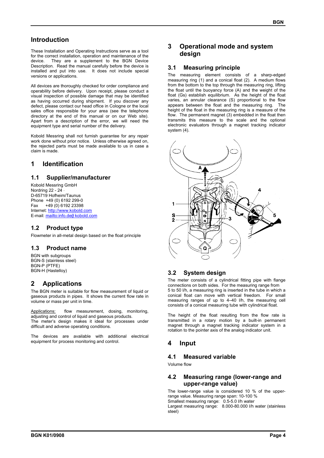## **Introduction**

These Installation and Operating Instructions serve as a tool for the correct installation, operation and maintenance of the device. They are a supplement to the BGN Device Description. Read the manual carefully before the device is installed and put into use. It does not include special versions or applications.

All devices are thoroughly checked for order compliance and operability before delivery. Upon receipt, please conduct a visual inspection of possible damage that may be identified as having occurred during shipment. If you discover any defect, please contact our head office in Cologne or the local sales office responsible for your area (see the telephone directory at the end of this manual or on our Web site). Apart from a description of the error, we will need the equipment type and serial number of the delivery.

Kobold Messring shall not furnish guarantee for any repair work done without prior notice. Unless otherwise agreed on, the rejected parts must be made available to us in case a claim is made.

## **1 Identification**

## **1.1 Supplier/manufacturer**

Kobold Messring GmbH Nordring 22 - 24 ⋅ D-65719 Hofheim/Taunus Phone +49 (0) 6192 299-0 Fax +49 (0) 6192 23398 Internet: http://www.kobold.com E-mail: mailto:info.de@ kobold.com

#### **1.2 Product type**

Flowmeter in all-metal design based on the float principle

#### **1.3 Product name**

BGN with subgroups BGN-S (stainless steel) BGN-P (PTFE) BGN-H (Hastelloy)

## **2 Applications**

The BGN meter is suitable for flow measurement of liquid or gaseous products in pipes. It shows the current flow rate in volume or mass per unit in time.

Applications: flow measurement, dosing, monitoring, adjusting and control of liquid and gaseous products. The meter's design makes it ideal for processes under difficult and adverse operating conditions.

The devices are available with additional electrical equipment for process monitoring and control.

## **3 Operational mode and system design**

#### **3.1 Measuring principle**

The measuring element consists of a sharp-edged measuring ring (1) and a conical float (2). A medium flows from the bottom to the top through the measuring ring, lifting the float until the buoyancy force (A) and the weight of the float (Gs) establish equilibrium. As the height of the float varies, an annular clearance (S) proportional to the flow appears between the float and the measuring ring. The height of the float in the measuring ring is a measure of the flow. The permanent magnet (3) embedded in the float then transmits this measure to the scale and the optional electronic evaluators through a magnet tracking indicator system (4).



## **3.2 System design**

The meter consists of a cylindrical fitting pipe with flange connections on both sides. For the measuring range from 5 to 50 l/h, a measuring ring is inserted in the tube in which a conical float can move with vertical freedom. For small measuring ranges of up to 4–40 l/h, the measuring cell consists of a conical measuring tube with cylindrical float.

The height of the float resulting from the flow rate is transmitted in a rotary motion by a built-in permanent magnet through a magnet tracking indicator system in a rotation to the pointer axis of the analog indicator unit.

## **4 Input**

#### **4.1 Measured variable**

Volume flow

## **4.2 Measuring range (lower-range and upper-range value)**

The lower-range value is considered 10 % of the upperrange value. Measuring range span: 10-100 % Smallest measuring range: 0.5-5.0 l/h water Largest measuring range: 8.000-80.000 l/h water (stainless steel)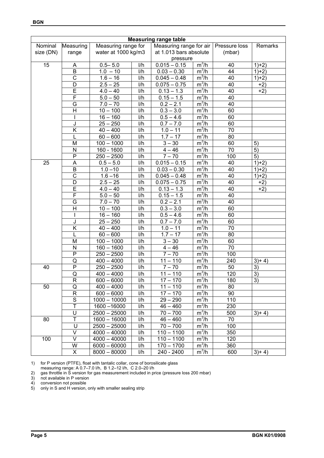| <b>Measuring range table</b>                |   |                                  |     |                |         |     |         |
|---------------------------------------------|---|----------------------------------|-----|----------------|---------|-----|---------|
| Measuring range for<br>Nominal<br>Measuring |   | Measuring range for air          |     | Pressure loss  | Remarks |     |         |
| size (DN)<br>water at 1000 kg/m3<br>range   |   | at 1.013 bars absolute<br>(mbar) |     |                |         |     |         |
|                                             |   |                                  |     | pressure       |         |     |         |
| 15                                          | A | $0.5 - 5.0$                      | l/h | $0.015 - 0.15$ | $m^3/h$ | 40  | $1+2)$  |
|                                             | В | $1.0 - 10$                       | I/h | $0.03 - 0.30$  | $m^3/h$ | 44  | $1)+2)$ |
|                                             | C | $1.6 - 16$                       | I/h | $0.045 - 0.48$ | $m^3/h$ | 40  | $1)+2)$ |
|                                             | D | $2.5 - 25$                       | I/h | $0.075 - 0.75$ | $m^3/h$ | 40  | $+2)$   |
|                                             | Ē | $4.0 - 40$                       | I/h | $0.13 - 1.3$   | $m^3/h$ | 40  | $+2)$   |
|                                             | F | $5.0 - 50$                       | I/h | $0.15 - 1.5$   | $m^3/h$ | 40  |         |
|                                             | G | $7.0 - 70$                       | I/h | $0.2 - 2.1$    | $m^3/h$ | 40  |         |
|                                             | H | $10 - 100$                       | I/h | $0.3 - 3.0$    | $m^3/h$ | 60  |         |
|                                             |   | $16 - 160$                       | I/h | $0.5 - 4.6$    | $m^3/h$ | 60  |         |
|                                             | J | $25 - 250$                       | I/h | $0.7 - 7.0$    | $m^3/h$ | 60  |         |
|                                             | Κ | $40 - 400$                       | I/h | $1.0 - 11$     | $m^3/h$ | 70  |         |
|                                             | L | $60 - 600$                       | I/h | $1.7 - 17$     | $m^3/h$ | 80  |         |
|                                             | M | $100 - 1000$                     | I/h | $3 - 30$       | $m^3/h$ | 60  | 5)      |
|                                             | N | 160 - 1600                       | I/h | $4 - 46$       | $m^3/h$ | 70  | 5)      |
|                                             | P | $250 - 2500$                     | I/h | $7 - 70$       | $m^3/h$ | 100 | 5)      |
| 25                                          | A | $0.5 - 5.0$                      | 1/h | $0.015 - 0.15$ | $m^3/h$ | 40  | $1)+2)$ |
|                                             | B | $1.0 - 10$                       | 1/h | $0.03 - 0.30$  | $m^3/h$ | 40  | $1)+2)$ |
|                                             | C | $1.6 - 16$                       | 1/h | $0.045 - 0.48$ | $m^3/h$ | 40  | $1+2)$  |
|                                             | D | $2.5 - 25$                       | 1/h | $0.075 - 0.75$ | $m^3/h$ | 40  | $+2)$   |
|                                             | Ē | $4.0 - 40$                       | 1/h | $0.13 - 1.3$   | $m^3/h$ | 40  | $+2)$   |
|                                             | F | $5.0 - 50$                       | 1/h | $0.15 - 1.5$   | $m^3/h$ | 40  |         |
|                                             | G | $7.0 - 70$                       | 1/h | $0.2 - 2.1$    | $m^3/h$ | 40  |         |
|                                             | H | $10 - 100$                       | I/h | $0.3 - 3.0$    | $m^3/h$ | 60  |         |
|                                             |   | $16 - 160$                       | I/h | $0.5 - 4.6$    | $m^3/h$ | 60  |         |
|                                             | J | $25 - 250$                       | I/h | $0.7 - 7.0$    | $m^3/h$ | 60  |         |
|                                             | Κ | $40 - 400$                       | I/h | $1.0 - 11$     | $m^3/h$ | 70  |         |
|                                             | L | $60 - 600$                       | I/h | $1.7 - 17$     | $m^3/h$ | 80  |         |
|                                             | M | $100 - 1000$                     | I/h | $3 - 30$       | $m^3/h$ | 60  |         |
|                                             | N | $160 - 1600$                     | I/h | $4 - 46$       | $m^3/h$ | 70  |         |
|                                             | P | $250 - 2500$                     | I/h | $7 - 70$       | $m^3/h$ | 100 |         |
|                                             | Q | $400 - 4000$                     | I/h | $11 - 110$     | $m^3/h$ | 240 | $3+4)$  |
| 40                                          | P | $250 - 2500$                     | I/h | $7 - 70$       | $m^3/h$ | 50  | 3)      |
|                                             | Q | $400 - 4000$                     | I/h | $11 - 110$     | $m^3/h$ | 120 | 3)      |
|                                             | R | $600 - 6000$                     | l/h | $17 - 170$     | $m^3/h$ | 180 | 3)      |
| 50                                          | Q | $400 - 4000$                     | I/h | $11 - 110$     | $m^3/h$ | 80  |         |
|                                             | R | $600 - 6000$                     | 1/h | $17 - 170$     | $m^3/h$ | 90  |         |
|                                             | S | $1000 - 10000$                   | I/h | $29 - 290$     | $m^3/h$ | 110 |         |
|                                             | Ŧ | 1600 - 16000                     | I/h | $46 - 460$     | $m^3/h$ | 230 |         |
|                                             | U | $2500 - 25000$                   | I/h | $70 - 700$     | $m^3/h$ | 500 | $3+4)$  |
| 80                                          | Т | $1600 - 16000$                   | I/h | $46 - 460$     | $m^3/h$ | 70  |         |
|                                             | U | $2500 - 25000$                   | I/h | $70 - 700$     | $m^3/h$ | 100 |         |
|                                             | V | $4000 - 40000$                   | I/h | $110 - 1100$   | $m^3/h$ | 350 |         |
| 100                                         | V | $4000 - 40000$                   | l/h | $110 - 1100$   | $m^3/h$ | 120 |         |
|                                             | W | $6000 - 60000$                   | I/h | $170 - 1700$   | $m^3/h$ | 360 |         |
|                                             | X | $\overline{8000} - 80000$        | 1/h | 240 - 2400     | $m^3/h$ | 600 | $3+4)$  |

1) for P version (PTFE), float with tantalic collar, cone of borosilicate glass measuring range: A 0.7–7.0 l/h, B 1.2–12 l/h, C 2.0–20 l/h

2) gas throttle in S version for gas measurement included in price (pressure loss 200 mbar)

3) not available in P version

4) conversion not possible

5) only in S and H version, only with smaller sealing strip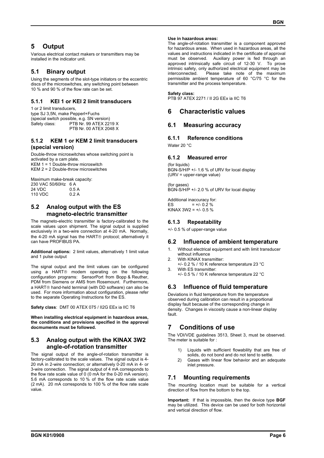## **5 Output**

Various electrical contact makers or transmitters may be installed in the indicator unit.

## **5.1 Binary output**

Using the segments of the slot-type initiators or the eccentric discs of the microswitches, any switching point between 10 % and 90 % of the flow rate can be set.

## **5.1.1 KEI 1 or KEI 2 limit transducers**

1 or 2 limit transducers, type SJ 3,5N, make Pepperl+Fuchs (special switch possible, e.g. SN version) Safety class: PTB Nr. 99 ATEX 2219 X PTB Nr. 00 ATEX 2048 X

#### **5.1.2 KEM 1 or KEM 2 limit transducers (special version)**

Double-throw microswitches whose switching point is activated by a cam plate. KEM 1 = 1 Double-throw microswitch KEM 2 = 2 Double-throw microswitches

Maximum make-break capacity: 230 VAC 50/60Hz 6 A 24 VDC 0.5 A<br>110 VDC 0.2 A 110 VDC

## **5.2 Analog output with the ES magneto-electric transmitter**

The magneto-electric transmitter is factory-calibrated to the scale values upon shipment. The signal output is supplied exclusively in a two-wire connection at 4-20 mA. Normally, the 4-20 mA signal has the HART<sup>®</sup> protocol; alternatively it can have PROFIBUS PA.

**Additional options:** 2 limit values, alternatively 1 limit value and 1 pulse output

The signal output and the limit values can be configured using a HART<sup>®</sup> modem operating on the following configuration programs: SensorPort from Bopp & Reuther, PDM from Siemens or AMS from Rosemount. Furthermore, a HART<sup>®</sup> hand-held terminal (with DD software) can also be used. For more information about configuration, please refer to the separate Operating Instructions for the ES.

**Safety class**: DMT 00 ATEX 075 / II2G EEx ia IIC T6

**When installing electrical equipment in hazardous areas, the conditions and provisions specified in the approval docmuments must be followed.** 

#### **5.3 Analog output with the KINAX 3W2 angle-of-rotation transmitter**

The signal output of the angle-of-rotation transmitter is factory-calibrated to the scale values. The signal output is 4- 20 mA in 2-wire connection; or alternatively 0-20 mA in 4- or 3-wire connection. The signal output of 4 mA corresponds to the flow rate scale value of 0 (0 mA for the 0-20 mA version). 5.6 mA corresponds to 10 % of the flow rate scale value (2 mA). 20 mA corresponds to 100 % of the flow rate scale value.

#### **Use in hazardous areas:**

The angle-of-rotation transmitter is a component approved for hazardous areas. When used in hazardous areas, all the values and instructions indicated in the certificate of approval must be observed. Auxiliary power is fed through an approved intrinsically safe circuit of 12-30 V. To prove intrinsic safety, only authorized electrical equipment may be interconnected. Please take note of the maximum permissible ambient temperature of 60 °C/75 °C for the transmitter and the process temperature.

#### **Safety class:**

PTB 97 ATEX 2271 / II 2G EEx ia IIC T6

## **6 Characteristic values**

## **6.1 Measuring accuracy**

#### **6.1.1 Reference conditions**

Water 20 °C

## **6.1.2 Measured error**

(for liquids) BGN-S/H/P +/- 1.6 % of URV for local display (URV = upper-range value)

(for gases)  $\overline{B}$ GN-S/H/P +/- 2.0 % of URV for local display

Additional inaccuracy for: ES  $= +/- 0.2 \%$ KINAX  $3W2 = +/-0.5$  %

## **6.1.3 Repeatability**

+/- 0.5 % of upper-range value

#### **6.2 Influence of ambient temperature**

- 1. Without electrical equipment and with limit transducer without influence
- With KINAX transmitter: +/- 0.2 % / 10 K reference temperature 23 °C 3. With ES transmitter:
- +/- 0.5 % / 10 K reference temperature 22 °C

## **6.3 Influence of fluid temperature**

Deviations in fluid temperature from the temperature observed during calibration can result in a proportional display fault because of the corresponding change in density. Changes in viscosity cause a non-linear display fault.

## **7 Conditions of use**

The VDI/VDE guidelines 3513, Sheet 3, must be observed. The meter is suitable for :

- 1) Liquids with sufficient flowability that are free of solids, do not bond and do not tend to settle.
- 2) Gases with linear flow behavior and an adequate inlet pressure.

## **7.1 Mounting requirements**

The mounting location must be suitable for a vertical direction of flow from the bottom to the top.

**Important:** If that is impossible, then the device type **BGF** may be utilized. This device can be used for both horizontal and vertical direction of flow.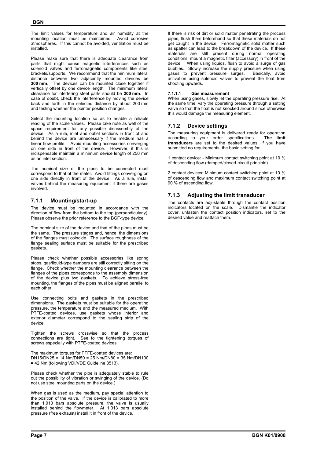The limit values for temperature and air humidity at the mounting location must be maintained. Avoid corrosive atmospheres. If this cannot be avoided, ventilation must be installed.

Please make sure that there is adequate clearance from parts that might cause magnetic interferences such as solenoid valves and ferromagnetic components like steel brackets/supports. We recommend that the minimum lateral distance between two adjacently mounted devices be **300 mm**. The devices can be mounted close together if vertically offset by one device length. The minimum lateral clearance for interfering steel parts should be **200 mm**. In case of doubt, check the interference by moving the device back and forth in the selected distance by about 200 mm and testing whether the pointer position changes.

Select the mounting location so as to enable a reliable reading of the scale values. Please take note as well of the space requirement for any possible disassembly of the device. As a rule, inlet and outlet sections in front of and behind the device are unnecessary if the medium has a linear flow profile. Avoid mounting accessories converging on one side in front of the device. However, if this is indispensable maintain a minimum device length of 250 mm as an inlet section.

The nominal size of the pipes to be connected must correspond to that of the meter. Avoid fittings converging on one side directly in front of the device. As a rule, install valves behind the measuring equipment if there are gases involved.

## **7.1.1 Mounting/start-up**

The device must be mounted in accordance with the direction of flow from the bottom to the top (perpendicularly). Please observe the prior reference to the BGF-type device.

The nominal size of the device and that of the pipes must be the same. The pressure stages and, hence, the dimensions of the flanges must coincide. The surface roughness of the flange sealing surface must be suitable for the prescribed gaskets.

Please check whether possible accessories like spring stops, gas/liquid-type dampers are still correctly sitting on the flange. Check whether the mounting clearance between the flanges of the pipes corresponds to the assembly dimension of the device plus two gaskets. To achieve stress-free mounting, the flanges of the pipes must be aligned parallel to each other.

Use connecting bolts and gaskets in the prescribed dimensions. The gaskets must be suitable for the operating pressure, the temperature and the measured medium. With PTFE-coated devices, use gaskets whose interior and exterior diameter correspond to the sealing strip of the device.

Tighten the screws crosswise so that the process connections are tight. See to the tightening torques of screws especially with PTFE-coated devices.

The maximum torques for PTFE-coated devices are: DN15/DN25 = 14 Nm/DN50 = 25 Nm/DN80 = 35 Nm/DN100 = 42 Nm (following VDI/VDE Guideline 3513).

Please check whether the pipe is adequately stable to rule out the possibility of vibration or swinging of the device. (Do not use steel mounting parts on the device.)

When gas is used as the medium, pay special attention to the position of the valve. If the device is calibrated to more than 1.013 bars absolute pressure, the valve is usually installed behind the flowmeter. At 1.013 bars absolute pressure (free exhaust) install it in front of the device.

If there is risk of dirt or solid matter penetrating the process pipes, flush them beforehand so that these materials do not get caught in the device. Ferromagnetic solid matter such as spatter can lead to the breakdown of the device. If these materials are still present during normal operating conditions, mount a magnetic filter (accessory) in front of the device. When using liquids, flush to avoid a surge of gas bubbles. Slowly increase the supply pressure when using gases to prevent pressure surges. Basically, avoid activation using solenoid valves to prevent the float from shooting upwards.

## **7.1.1.1 Gas measurement**

When using gases, slowly let the operating pressure rise. At the same time, vary the operating pressure through a setting valve so that the float is not knocked around since otherwise this would damage the measuring element.

## **7.1.2 Device settings**

The measuring equipment is delivered ready for operation according to your order specifications. **The limit transducers** are set to the desired values. If you have submitted no requirements, the basic setting for

1 contact device: - Minimum contact switching point at 10 % of descending flow (damped/closed-circuit principle).

2 contact devices: Minimum contact switching point at 10 % of descending flow and maximum contact switching point at 90 % of ascending flow.

## **7.1.3 Adjusting the limit transducer**

The contacts are adjustable through the contact position indicators located on the scale. Dismantle the indicator cover, unfasten the contact position indicators, set to the desired value and reattach them.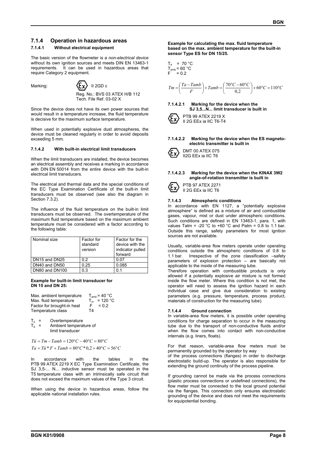#### **7.1.4 Operation in hazardous areas**

#### **7.1.4.1 Without electrical equipment**

The basic version of the flowmeter is a *non-electrical device* without its own ignition sources and meets DIN EN 13463-1 requirements. It can be used in hazardous areas that require Category 2 equipment.



Since the device does not have its own power sources that would result in a temperature increase, the fluid temperature is decisive for the maximum surface temperature.

When used in potentially explosive dust atmospheres, the device must be cleaned regularly in order to avoid deposits exceeding 5 mm.

#### **7.1.4.2 With built-in electrical limit transducers**

When the limit transducers are installed, the device becomes an electrical assembly and receives a marking in accordance with DIN EN 50014 from the entire device with the built-in electrical limit transducers.

The electrical and thermal data and the special conditions of the EC Type Examination Certificate of the built-in limit transducers must be observed (see also the diagram in Section 7.3.2).

The influence of the fluid temperature on the built-in limit transducers must be observed. The overtemperature of the maximum fluid temperature based on the maximum ambient temperature must be considered with a factor according to the following table:

| Nominal size                          | Factor for<br>standard<br>version | Factor for the<br>device with the<br>indicator pulled<br>forward |
|---------------------------------------|-----------------------------------|------------------------------------------------------------------|
| DN <sub>15</sub> and DN <sub>25</sub> | 02                                | 0.07                                                             |
| DN40 and DN50                         | 0.25                              | 0.085                                                            |
| DN80 and DN100                        | 0.3                               |                                                                  |

#### **Example for built-in limit transducer for DN 15 and DN 25:**

| Max. ambient temperature   | $T_{amb}$ = 40 °C |
|----------------------------|-------------------|
| Max. fluid temperature     | $T_m = 120 °C$    |
| Factor for brought-in heat | $= 0.2$<br>F.     |
| Temperature class          | Τ4                |

- $T_{\ddot{\text{o}}}$  = Overtemperature
- $T_a$  = Ambient temperature of limit transducer

 $T\ddot{u} = Tm - Tamb = 120\degree C - 40\degree C = 80\degree C$ 

 $Ta = Ti\ddot{v} + F + Tamb = 80^{\circ}C \cdot 0.2 + 40^{\circ}C = 56^{\circ}C$ 

In accordance with the tables in the PTB 99 ATEX 2219 X EC Type Examination Certificate, the SJ 3,5-... N... inductive sensor must be operated in the T5 temperature class with an intrinsically safe circuit that does not exceed the maximum values of the Type 3 circuit.

When using the device in hazardous areas, follow the applicable national installation rules.

**Example for calculating the max. fluid temperature based on the max. ambient temperature for the built-in sensor Type ES for DN 15/25.** 

$$
T_a = 70 °C
$$
  
T<sub>amb</sub> = 60 °C  
F = 0.2

$$
Tm = \left(\frac{Ta - Tamb}{F}\right) + Tamb = \left(\frac{70\degree C - 60\degree C}{0.2}\right) + 60\degree C = 110\degree C
$$

**7.1.4.2.1 Marking for the device when the SJ 3,5...N... limit transducer is built in** 



#### **7.1.4.2.2 Marking for the device when the ES magnetoelectric transmitter is built in**



#### **7.1.4.2.3 Marking for the device when the KINAX 3W2 angle-of-rotation transmitter is built in**



#### **7.1.4.3 Atmospheric conditions**

In accordance with EN 1127, a "potentially explosive atmosphere" is defined as a mixture of air and combustible gases, vapour, mist or dust under atmospheric conditions. Such conditions are defined in EN 13463-1, para. 1, with values Tatm = -20 °C to +60 °C and Patm = 0.8 to 1.1 bar. Outside this range, safety parameters for most ignition sources are not available.

Usually, variable-area flow meters operate under operating conditions outside the atmospheric conditions of 0.8 to 1.1 bar. Irrespective of the zone classification –safety parameters of explosion protection – are basically not applicable to the inside of the measuring tube.

Therefore operation with combustible products is only allowed if a potentially explosive air mixture is not formed inside the flow meter. Where this condition is not met, the operator will need to assess the ignition hazard in each individual case and give due consideration to existing parameters (e.g. pressure, temperature, process product, materials of construction for the measuring tube).

#### **7.1.4.4 Ground connection**

In variable-area flow meters, it is possible under operating conditions for charge separation to occur in the measuring tube due to the transport of non-conductive fluids and/or when the flow comes into contact with non-conductive internals (e.g. liners, floats).

For that reason, variable-area flow meters must be permanently grounded by the operator by way

of the process connections (flanges) in order to discharge electrostatic build-up. The operator is also responsible for extending the ground continuity of the process pipeline.

If grounding cannot be made via the process connections (plastic process connections or undefined connections), the flow meter must be connected to the local ground potential via the flanges. This connection only ensures electrostatic grounding of the device and does not meet the requirements for equipotential bonding.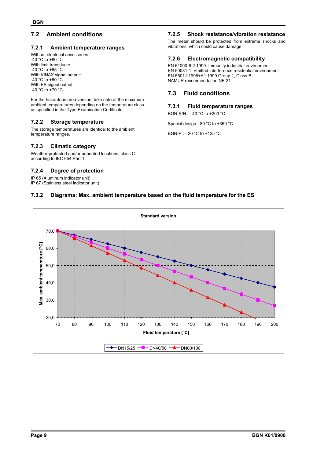## **7.2 Ambient conditions**

#### **7.2.1 Ambient temperature ranges**

Without electrical accessories: -40 °C to +80 °C With limit transducer: -40 °C to +65 °C With KINAX signal output: -40 °C to +60 °C With ES signal output: -40 °C to +70 °C

For the hazardous area version, take note of the maximum ambient temperatures depending on the temperature class as specified in the Type Examination Certificate.

## **7.2.2 Storage temperature**

The storage temperatures are identical to the ambient temperature ranges.

#### **7.2.3 Climatic category**

Weather-protected and/or unheated locations, class C according to IEC 654 Part 1

#### **7.2.4 Degree of protection**

IP 65 (Aluminum indicator unit)

IP 67 (Stainless steel indicator unit)

#### **7.2.5 Shock resistance/vibration resistance**

The meter should be protected from extreme shocks and vibrations, which could cause damage.

#### **7.2.6 Electromagnetic compatibility**

EN 61000-6-2:1999 Immunity industrial environment EN 50081-1 Emitted interference residential environment EN 55011:1998+A1:1999 Group 1, Class B NAMUR recommendation NE 21

## **7.3 Fluid conditions**

#### **7.3.1 Fluid temperature ranges**

BGN-S/H : - 40 °C to +200 °C

Special design: -80 °C to +350 °C

BGN-P : - 20 °C to +125 °C

#### **7.3.2 Diagrams: Max. ambient temperature based on the fluid temperature for the ES**

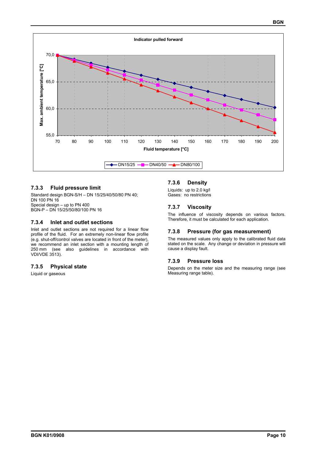

#### **7.3.3 Fluid pressure limit**

Standard design BGN-S/H – DN 15/25/40/50/80 PN 40; DN 100 PN 16 Special design – up to PN 400 BGN-P – DN 15/25/50/80/100 PN 16

#### **7.3.4 Inlet and outlet sections**

Inlet and outlet sections are not required for a linear flow profile of the fluid. For an extremely non-linear flow profile (e.g. shut-off/control valves are located in front of the meter), we recommend an inlet section with a mounting length of 250 mm (see also guidelines in accordance with VDI/VDE 3513).

#### **7.3.5 Physical state**

Liquid or gaseous

#### **7.3.6 Density**

Liquids: up to 2.0 kg/l Gases: no restrictions

#### **7.3.7 Viscosity**

The influence of viscosity depends on various factors. Therefore, it must be calculated for each application.

#### **7.3.8 Pressure (for gas measurement)**

The measured values only apply to the calibrated fluid data stated on the scale. Any change or deviation in pressure will cause a display fault.

#### **7.3.9 Pressure loss**

Depends on the meter size and the measuring range (see Measuring range table).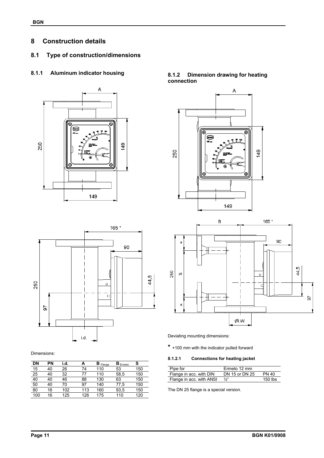## **8 Construction details**

## **8.1 Type of construction/dimensions**

## **8.1.1 Aluminum indicator housing**





#### Dimensions:

| DN  | ΡN | i.d. |     | $B$ Flange | $B_{Ermreto}$ | S   |
|-----|----|------|-----|------------|---------------|-----|
| 15  | 40 | 26   | 74  | 110        | 53            | 150 |
| 25  | 40 | 32   | 77  | 110        | 58,5          | 150 |
| 40  | 40 | 46   | 88  | 130        | 63            | 150 |
| 50  | 40 | 70   | 97  | 140        | 77,5          | 150 |
| 80  | 16 | 102  | 113 | 160        | 93,5          | 150 |
| 100 | 16 | 125  | 126 | 175        | 110           | 120 |

## **8.1.2 Dimension drawing for heating connection**





Deviating mounting dimensions:

**\*** +100 mm with the indicator pulled forward

#### **8.1.2.1 Connections for heating jacket**

| Pipe for                 | Ermeto 12 mm    |              |
|--------------------------|-----------------|--------------|
| Flange in acc. with DIN  | DN 15 or DN 25  | <b>PN 40</b> |
| Flange in acc. with ANSI | $\frac{1}{2}$ " | $150$ lbs    |

The DN 25 flange is a special version.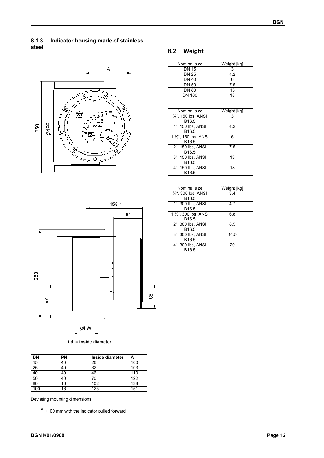## **8.1.3 Indicator housing made of stainless steel**



## **8.2 Weight**

| Nominal size  | Weight [kg] |
|---------------|-------------|
| <b>DN 15</b>  |             |
| DN 25         | 42          |
| <b>DN 40</b>  | ี่ค         |
| <b>DN 50</b>  | 75          |
| <b>DN 80</b>  | 13          |
| <b>DN 100</b> | 18          |
|               |             |

| Nominal size                     | Weight [kg] |
|----------------------------------|-------------|
| 3/ <sub>4</sub> ", 150 lbs, ANSI |             |
| B <sub>16.5</sub>                |             |
| 1", 150 lbs, ANSI                | 42          |
| B <sub>16.5</sub>                |             |
| 1 1/2", 150 lbs, ANSI            | 6           |
| B <sub>16.5</sub>                |             |
| 2", 150 lbs, ANSI                | 75          |
| B <sub>16.5</sub>                |             |
| 3", 150 lbs, ANSI                | 13          |
| B <sub>16.5</sub>                |             |
| 4", 150 lbs, ANSI                | 18          |
| B <sub>16.5</sub>                |             |



| i.d. = inside diameter |  |  |  |
|------------------------|--|--|--|
|------------------------|--|--|--|

| <b>DN</b> | ΡN | Inside diameter |     |
|-----------|----|-----------------|-----|
| 15        | 40 | 26              | 100 |
| 25        | 40 | 32              | 103 |
| 40        | 40 | 46              | 110 |
| 50        | 40 | 70              | 122 |
| 80        | 16 | 102             | 138 |
| 100       | 6  | 125             | 151 |

Deviating mounting dimensions:

**\*** +100 mm with the indicator pulled forward

| Weight [kg] |
|-------------|
| 34          |
|             |
| 47          |
|             |
| 6.8         |
|             |
| 8.5         |
|             |
| 14.5        |
|             |
| 20          |
|             |
|             |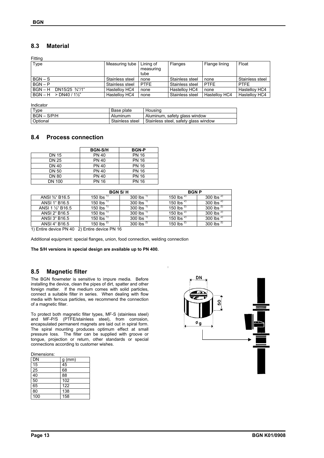## **8.3 Material**

Fitting

| Type                         | Measuring tube  | Lining of<br>measuring<br>tube | Flanges         | Flange lining | Float           |
|------------------------------|-----------------|--------------------------------|-----------------|---------------|-----------------|
| $BGN-S$                      | Stainless steel | none                           | Stainless steel | none          | Stainless steel |
| $BGN - P$                    | Stainless steel | <b>PTFE</b>                    | Stainless steel | <b>PTFE</b>   | <b>PTFE</b>     |
| $BGN - H$<br>DN15/25 3/4"/1" | Hastellov HC4   | none                           | Hastellov HC4   | none          | Hastellov HC4   |
| $BGN - H > DN40 / 1½"$       | Hastellov HC4   | none                           | Stainless steel | Hastellov HC4 | Hastellov HC4   |

| Indicator     |                 |                                      |
|---------------|-----------------|--------------------------------------|
| Type          | Base plate      | Housina                              |
| $BGN - S/P/H$ | Aluminum        | Aluminum, safety glass window        |
| Optional      | Stainless steel | Stainless steel, safety glass window |

#### **8.4 Process connection**

|               | <b>BGN-S/H</b> | <b>BGN-P</b> |
|---------------|----------------|--------------|
| DN 15         | <b>PN 40</b>   | <b>PN 16</b> |
| <b>DN 25</b>  | <b>PN 40</b>   | <b>PN 16</b> |
| DN 40         | <b>PN 40</b>   | <b>PN 16</b> |
| <b>DN 50</b>  | <b>PN 40</b>   | <b>PN 16</b> |
| <b>DN 80</b>  | <b>PN 40</b>   | <b>PN 16</b> |
| <b>DN 100</b> | <b>PN 16</b>   | <b>PN 16</b> |

|                   | <b>BGN S/H</b>  |                       | <b>BGN P</b>    |                |
|-------------------|-----------------|-----------------------|-----------------|----------------|
| ANSI 3/4" B16.5   | 150 lbs         | 300 lbs $"$           | 150 lbs $^{2}$  | 300 lbs $2$    |
| ANSI 1" B16.5     | 150 lbs $^{1}$  | 300 lbs $'$           | 150 lbs $^{2}$  | 300 lbs $^{2}$ |
| ANSI 1 1/2" B16.5 | 150 lbs $^{17}$ | 300 lbs $\frac{1}{2}$ | 150 lbs $^{2)}$ | 300 lbs $^{2}$ |
| ANSI 2" B16.5     | 150 lbs $^+$    | 300 lbs $'$           | 150 lbs $^{2}$  | 300 lbs $^{2}$ |
| ANSI 3" B16.5     | 150 lbs $^+$    | 300 lbs $'$           | 150 lbs $^{2}$  | 300 lbs $^{2}$ |
| ANSI 4" B16.5     | 150 lbs $^{2)}$ | 300 lbs $^{2}$        | 150 lbs $^{2)}$ | 300 lbs $^{2}$ |

1) Entire device PN 40 2) Entire device PN 16

Additional equipment: special flanges, union, food connection, welding connection

**The S/H versions in special design are available up to PN 400.** 

## **8.5 Magnetic filter**

The BGN flowmeter is sensitive to impure media. Before installing the device, clean the pipes of dirt, spatter and other foreign matter. If the medium comes with solid particles, connect a suitable filter in series. When dealing with flow media with ferrous particles, we recommend the connection of a magnetic filter.

To protect both magnetic filter types, MF-S (stainless steel) and MF-P/S (PTFE/stainless steel), from corrosion, encapsulated permanent magnets are laid out in spiral form. The spiral mounting produces optimum effect at small pressure loss. The filter can be supplied with groove or tongue, projection or return, other standards or special connections according to customer wishes.

Dimensions:

| DN              | $g$ (mm) |
|-----------------|----------|
| 15              | 45       |
| $\overline{25}$ | 68       |
| 40              | 88       |
| 50              | 102      |
| 65              | 122      |
| 80              | 138      |
| 100             | 158      |

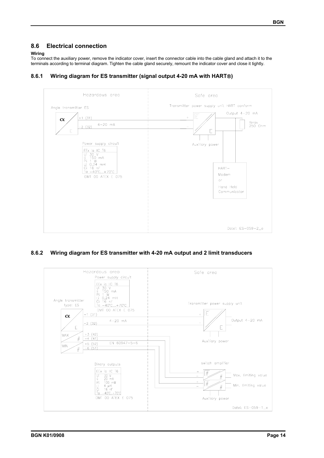## **8.6 Electrical connection**

#### **Wiring**

To connect the auxiliary power, remove the indicator cover, insert the connector cable into the cable gland and attach it to the terminals according to terminal diagram. Tighten the cable gland securely, remount the indicator cover and close it tightly.



## **8.6.1 Wiring diagram for ES transmitter (signal output 4-20 mA with HART)**

## **8.6.2 Wiring diagram for ES transmitter with 4-20 mA output and 2 limit transducers**

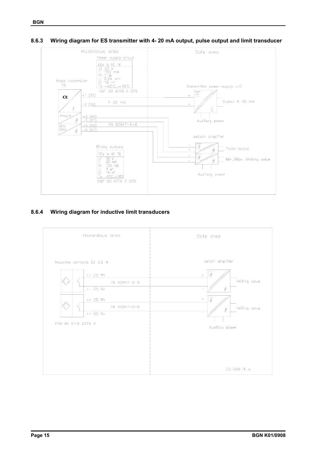#### **8.6.3 Wiring diagram for ES transmitter with 4- 20 mA output, pulse output and limit transducer**



## **8.6.4 Wiring diagram for inductive limit transducers**

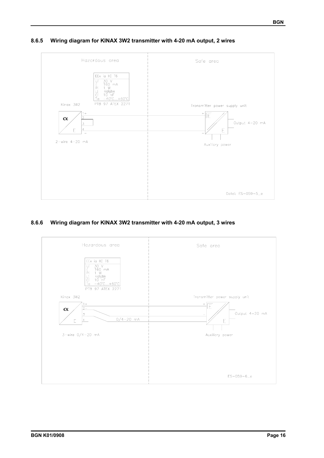## **8.6.5 Wiring diagram for KINAX 3W2 transmitter with 4-20 mA output, 2 wires**



## **8.6.6 Wiring diagram for KINAX 3W2 transmitter with 4-20 mA output, 3 wires**

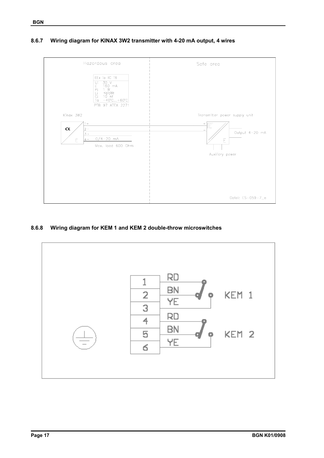



## **8.6.8 Wiring diagram for KEM 1 and KEM 2 double-throw microswitches**

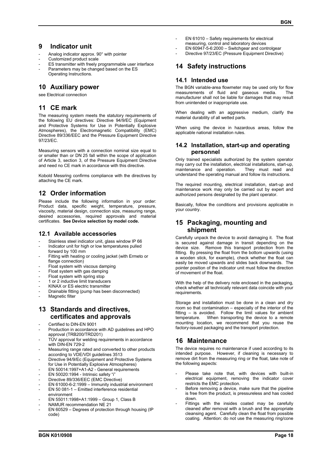## **9 Indicator unit**

- Analog indicator approx. 90° with pointer
- Customized product scale
- ES transmitter with freely programmable user interface Parameters may be changed based on the ES
- Operating Instructions.

## **10 Auxiliary power**

see Electrical connection

## **11 CE mark**

The measuring system meets the statutory requirements of the following EU directives: Directive 94/9/EC (Equipment and Protective Systems for Use in Potentially Explosive Atmospheres), the Electromagnetic Compatibility (EMC) Directive 89/336/EEC and the Pressure Equipment Directive 97/23/EC.

Measuring sensors with a connection nominal size equal to or smaller than or DN 25 fall within the scope of application of Article 3, section 3, of the Pressure Equipment Directive and need no CE mark in accordance with this directive.

Kobold Messring confirms compliance with the directives by attaching the CE mark.

## **12 Order information**

Please include the following information in your order: Product data, specific weight, temperature, pressure, viscosity, material design, connection size, measuring range, desired accessories, required approvals and material certificates. **See Device selection by model code.**

## **12.1 Available accessories**

- Stainless steel indicator unit, glass window IP 66
- Indicator unit for high or low temperatures pulled forward by 100 mm
- Fitting with heating or cooling jacket (with Ermeto or flange connection)
- Float system with viscous damping
- Float system with gas damping
- Float system with spring stop
- 1 or 2 inductive limit transducers
- KINAX or ES electric transmitter
- Drainable fitting (pump has been disconnected)
- Magnetic filter

## **13 Standards and directives, certificates and approvals**

- Certified to DIN-EN 9001
- Production in accordance with AD guidelines and HPO approval (TRB200/TRD201)
- TÜV approval for welding requirements in accordance with DIN-EN 729-2
- Measuring range rated and converted to other products according to VDE/VDI guidelines 3513
- Directive 94/9/Ec (Equipment and Protective Systems for Use in Potentially Explosive Atmospheres)
- EN 50014:1997+A1-A2 General requirements
- EN 50020:1994 Intrinsic safety "i"
- Directive 89/336/EEC (EMC Directive)
- EN 61000-6-2:1999 Immunity industrial environment
- EN 50 081-1 Emitted interference residential environment
- EN 55011:1998+A1:1999 Group 1, Class B
- NAMUR recommendation NE 21
- EN 60529 Degrees of protection through housing (IP code)
- EN 61010 Safety requirements for electrical measuring, control and laboratory devices
- $EN 60947-5-6:2000 Switchgear$  and controlgear
- Directive 97/23/EC (Pressure Equipment Directive)

## **14 Safety instructions**

#### **14.1 Intended use**

The BGN variable-area flowmeter may be used only for flow measurements of fluid and gaseous media. The manufacturer shall not be liable for damages that may result from unintended or inappropriate use.

When dealing with an aggressive medium, clarify the material durability of all wetted parts.

When using the device in hazardous areas, follow the applicable national installation rules.

## **14.2 Installation, start-up and operating personnel**

Only trained specialists authorized by the system operator may carry out the installation, electrical installations, start-up, maintenance and operation. They must read and maintenance and operation. understand the operating manual and follow its instructions.

The required mounting, electrical installation, start-up and maintenance work may only be carried out by expert and authorized persons designated by the plant operator.

Basically, follow the conditions and provisions applicable in your country.

## **15 Packaging, mounting and shipment**

Carefully unpack the device to avoid damaging it. The float is secured against damage in transit depending on the device size. Remove this transport protection from the fitting. By pressing the float from the bottom upwards (using a wooden stick, for example), check whether the float can easily be moved upwards and slides back downwards. The pointer position of the indicator unit must follow the direction of movement of the float.

With the help of the delivery note enclosed in the packaging, check whether all technically relevant data coincide with your requirements.

Storage and installation must be done in a clean and dry room so that contamination – especially of the interior of the fitting – is avoided. Follow the limit values for ambient temperature. When transporting the device to a remote mounting location, we recommend that you reuse the factory-issued packaging and the transport protection.

## **16 Maintenance**

The device requires no maintenance if used according to its intended purpose. However, if cleaning is necessary to remove dirt from the measuring ring or the float, take note of the following aspects:

- Please take note that, with devices with built-in electrical equipment, removing the indicator cover restricts the EMC protection.
- Before removing a device, make sure that the pipeline is free from the product, is pressureless and has cooled down.
- Fittings with the insides coated may be carefully cleaned after removal with a brush and the appropriate cleansing agent. Carefully clean the float from possible coating. Attention: do not use the measuring ring/cone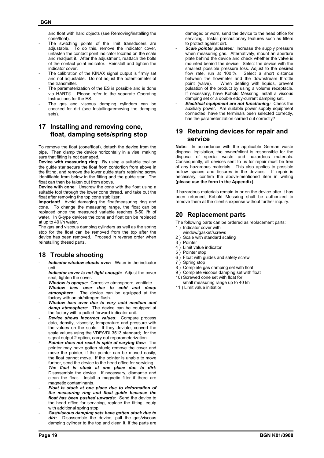and float with hard objects (see Removing/installing the cone/float).

- The switching points of the limit transducers are adjustable. To do this, remove the indicator cover, unfasten the contact point indicator located on the scale and readjust it. After the adjustment, reattach the bolts of the contact point indicator. Reinstall and tighten the indicator cover.
- The calibration of the KINAX signal output is firmly set and not adjustable. Do not adjust the potentiometer of the transmitter.
- The parameterization of the ES is possible and is done via HART®. Please refer to the separate Operating Instructions for the ES.
- The gas and viscous damping cylinders can be checked for dirt (see Installing/removing the damping sets).

## **17 Installing and removing cone, float, damping sets/spring stop**

To remove the float (cone/float), detach the device from the pipe. Then clamp the device horizontally in a vise, making sure that fitting is not damaged.

**Device with measuring ring**: By using a suitable tool on the guide star secure the float from contortion from above in the fitting, and remove the lower guide star's retaining screw identifiable from below in the fitting and the guide star. The float can then be taken out from above.

**Device with cone**: Unscrew the cone with the float using a suitable tool through the lower cone thread, and take out the float after removing the top cone stabilizer.

**Important!** Avoid damaging the float/measuring ring and cone. To change the measuring range, the float can be replaced once the measured variable reaches 5-50 l/h of water. In S-type devices the cone and float can be replaced at up to 40 l/h water.

The gas and viscous damping cylinders as well as the spring stop for the float can be removed from the top after the device has been removed. Proceed in reverse order when reinstalling thesed parts.

## **18 Trouble shooting**

- Indicator window clouds over: Water in the indicator unit.
- Indicator cover is not tight enough: Adjust the cover seal, tighten the cover.
- *Window is opaque:* Corrosive atmosphere, ventilate.
- *Window ices over due to cold and damp atmosphere:* The device can be equipped at the factory with an air/nitrogen flush.
- *Window ices over due to very cold medium and damp atmosphere:* The device can be equipped at the factory with a pulled-forward indicator unit.
- *Device shows incorrect values:* Compare process data, density, viscosity, temperature and pressure with the values on the scale. If they deviate, convert the scale values using the VDE/VDI 3513 standard; for the signal output 2 option, carry out reparameterization.
- *Pointer does not react in spite of varying flow:* **The** pointer may have gotten stuck; remove the cover and move the pointer; if the pointer can be moved easily, the float cannot move. If the pointer is unable to move further, send the device to the head office for servicing.
- *The float is stuck at one place due to dirt:*  Disassemble the device. If necessary, dismantle and clean the float. Install a magnetic filter if there are magnetic contaminants.
- *Float is stuck at one place due to deformation of the measuring ring and float guide because the float has been pushed upwards:* Send the device to the head office for servicing, replace the fitting, equip with additional spring stop.
- *Gas/viscous damping sets have gotten stuck due to*  dirt: Disassemble the device, pull the gas/viscous damping cylinder to the top and clean it. If the parts are

damaged or worn, send the device to the head office for servicing. Install precautionary features such as filters to protect against dirt.

- Scale pointer pulsates: Increase the supply pressure when measuring gas. Alternatively, mount an aperture plate behind the device and check whether the valve is mounted behind the device. Select the device with the smallest possible pressure loss. Adjust to the desired flow rate, run at 100 %. Select a short distance between the flowmeter and the downstream throttle point (valve). When dealing with liquids, prevent pulsation of the product by using a volume receptacle. If necessary, have Kobold Messring install a viscous damping set or a double eddy-current damping set.
- *Electrical equipment are not functioning:* Check the auxiliary power. Are suitable power supply equipment connected, have the terminals been selected correctly, has the parameterization carried out correctly?

## **19 Returning devices for repair and service**

**Note:** In accordance with the applicable German waste disposal legislation, the owner/client is responsible for the disposal of special waste and hazardous materials. Consequently, all devices sent to us for repair must be free of any hazardous materials. This also applies to possible hollow spaces and fissures in the devices. If repair is necessary, confirm the above-mentioned item in writing **(please use the form in the Appendix)**.

If hazardous materials remain in or on the device after it has been returned, Kobold Messring shall be authorized to remove them at the client's expense without further inquiry.

## **20 Replacement parts**

The following parts can be ordered as replacement parts:

- 1 ) Indicator cover with window/gasket/screws
- 2 ) Scale with standard scaling
- 
- 3 ) Pointer
- 4 ) Limit value indicator 5 ) Pointer stop
- 6 ) Float with guides and safety screw
- 7 ) Spring stop
- 
- 8 ) Complete gas damping set with float
- 9 ) Complete viscous damping set with float 10) Screwed cone set with float for
	- small measuring range up to 40 l/h
- 11 ) Limit value initiatior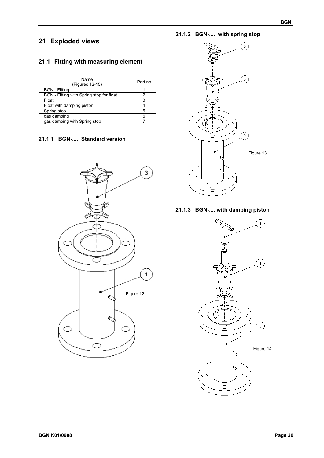## **21 Exploded views**

## **21.1 Fitting with measuring element**

| Name<br>(Figures 12-15)                  | Part no. |
|------------------------------------------|----------|
| <b>BGN</b> - Fitting                     |          |
| BGN - Fitting with Spring stop for float | 2        |
| Float                                    | 3        |
| Float with damping piston                |          |
| Spring stop                              | 5        |
| gas damping                              | հ        |
| gas damping with Spring stop             |          |

## **21.1.1 BGN-.... Standard version**



## **21.1.2 BGN-.... with spring stop**



## **21.1.3 BGN-.... with damping piston**

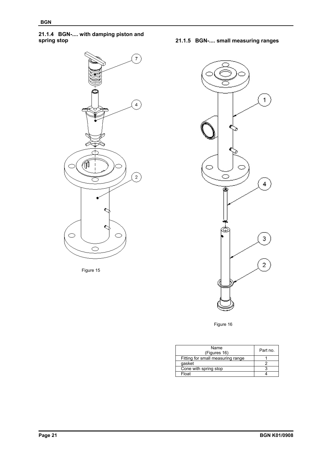# **21.1.4 BGN-.... with damping piston and**



Figure 15

**spring stop 21.1.5 BGN-.... small measuring ranges** 



Figure 16

| Name<br>(Figures 16)              | Part no. |
|-----------------------------------|----------|
| Fitting for small measuring range |          |
| qasket                            |          |
| Cone with spring stop             |          |
| Float                             |          |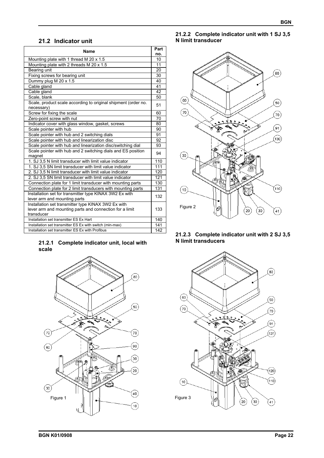## **21.2 Indicator unit**

| Name                                                                                                                         | Part<br>no. |
|------------------------------------------------------------------------------------------------------------------------------|-------------|
| Mounting plate with 1 thread M 20 x 1.5                                                                                      | 10          |
| Mounting plate with 2 threads M 20 x 1.5                                                                                     | 11          |
| Bearing unit                                                                                                                 | 20          |
| Fixing screws for bearing unit                                                                                               | 30          |
| Dummy plug M 20 x 1.5                                                                                                        | 40          |
| Cable gland                                                                                                                  | 41          |
| Cable gland                                                                                                                  | 42          |
| Scale, blank                                                                                                                 | 50          |
| Scale, product scale according to original shipment (order no.<br>necessary)                                                 | 51          |
| Screw for fixing the scale                                                                                                   | 60          |
| Zero-point screw with nut                                                                                                    | 70          |
| Indicator cover with glass window, gasket, screws                                                                            | 80          |
| Scale pointer with hub                                                                                                       | 90          |
| Scale pointer with hub and 2 switching dials                                                                                 | 91          |
| Scale pointer with hub and linearization disc                                                                                | 92          |
| Scale pointer with hub and linearization disc/switching dial                                                                 | 93          |
| Scale pointer with hub and 2 switching dials and ES position<br>magnet                                                       | 94          |
| 1. SJ 3.5 N limit transducer with limit value indicator                                                                      | 110         |
| 1. SJ 3,5 SN limit transducer with limit value indicator                                                                     | 111         |
| 2. SJ 3,5 N limit transducer with limit value indicator                                                                      | 120         |
| 2. SJ 3,5 SN limit transducer with limit value indicator                                                                     | 121         |
| Connection plate for 1 limit transducer with mounting parts                                                                  | 130         |
| Connection plate for 2 limit transducers with mounting parts                                                                 | 131         |
| Installation set for transmitter type KINAX 3W2 Ex with<br>lever arm and mounting parts                                      | 132         |
| Installation set transmitter type KINAX 3W2 Ex with<br>lever arm and mounting parts and connection for a limit<br>transducer | 133         |
| Installation set transmitter ES Ex Hart                                                                                      | 140         |
| Installation set transmitter ES Ex with switch (min-max)                                                                     | 141         |
| Installation set transmitter ES Ex with Profibus                                                                             | 142         |

#### **21.2.1 Complete indicator unit, local with scale**



## **21.2.2 Complete indicator unit with 1 SJ 3,5 N limit transducer**



#### **21.2.3 Complete indicator unit with 2 SJ 3,5 N limit transducers**

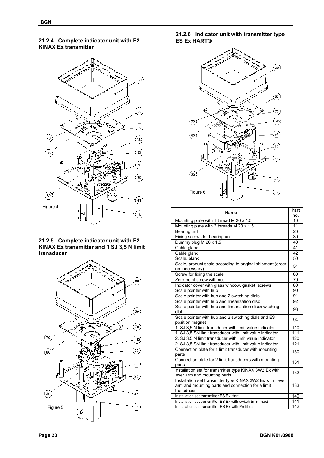**BGN**

#### **21.2.4 Complete indicator unit with E2 KINAX Ex transmitter**



#### **21.2.5 Complete indicator unit with E2 KINAX Ex transmitter and 1 SJ 3,5 N limit transducer**



## **21.2.6 Indicator unit with transmitter type ES Ex HART**



| <b>Name</b>                                                                                                                  |     |  |  |  |  |
|------------------------------------------------------------------------------------------------------------------------------|-----|--|--|--|--|
|                                                                                                                              |     |  |  |  |  |
| Mounting plate with 1 thread M 20 x 1.5                                                                                      | 10  |  |  |  |  |
| Mounting plate with 2 threads M 20 x 1.5                                                                                     | 11  |  |  |  |  |
| Bearing unit                                                                                                                 | 20  |  |  |  |  |
| Fixing screws for bearing unit                                                                                               | 30  |  |  |  |  |
| Dummy plug M 20 x 1.5                                                                                                        | 40  |  |  |  |  |
| Cable gland                                                                                                                  | 41  |  |  |  |  |
| Cable gland                                                                                                                  | 42  |  |  |  |  |
| Scale, blank                                                                                                                 | 50  |  |  |  |  |
| Scale, product scale according to original shipment (order<br>no. necessary)                                                 | 51  |  |  |  |  |
| Screw for fixing the scale                                                                                                   | 60  |  |  |  |  |
| Zero-point screw with nut                                                                                                    | 70  |  |  |  |  |
| Indicator cover with glass window, gasket, screws                                                                            | 80  |  |  |  |  |
| Scale pointer with hub                                                                                                       | 90  |  |  |  |  |
| Scale pointer with hub and 2 switching dials                                                                                 | 91  |  |  |  |  |
| Scale pointer with hub and linearization disc                                                                                | 92  |  |  |  |  |
| Scale pointer with hub and linearization disc/switching<br>dial                                                              | 93  |  |  |  |  |
| Scale pointer with hub and 2 switching dials and ES<br>position magnet                                                       | 94  |  |  |  |  |
| 1. SJ 3.5 N limit transducer with limit value indicator                                                                      | 110 |  |  |  |  |
| 1. SJ 3.5 SN limit transducer with limit value indicator                                                                     | 111 |  |  |  |  |
| 2. SJ 3.5 N limit transducer with limit value indicator                                                                      | 120 |  |  |  |  |
| 2. SJ 3.5 SN limit transducer with limit value indicator                                                                     | 121 |  |  |  |  |
| Connection plate for 1 limit transducer with mounting<br>parts                                                               | 130 |  |  |  |  |
| Connection plate for 2 limit transducers with mounting<br>parts                                                              | 131 |  |  |  |  |
| Installation set for transmitter type KINAX 3W2 Ex with<br>lever arm and mounting parts                                      | 132 |  |  |  |  |
| Installation set transmitter type KINAX 3W2 Ex with lever<br>arm and mounting parts and connection for a limit<br>transducer | 133 |  |  |  |  |
| Installation set transmitter ES Ex Hart                                                                                      | 140 |  |  |  |  |
| Installation set transmitter ES Ex with switch (min-max)                                                                     | 141 |  |  |  |  |
| Installation set transmitter ES Ex with Profibus                                                                             | 142 |  |  |  |  |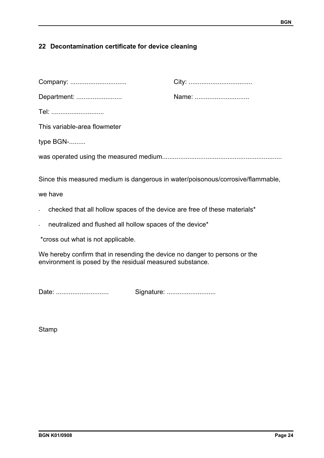## **22 Decontamination certificate for device cleaning**

| Company:                                                                                                                               |       |
|----------------------------------------------------------------------------------------------------------------------------------------|-------|
| Department:                                                                                                                            | Name: |
| Tel:                                                                                                                                   |       |
| This variable-area flowmeter                                                                                                           |       |
| type BGN-                                                                                                                              |       |
|                                                                                                                                        |       |
| Since this measured medium is dangerous in water/poisonous/corrosive/flammable,<br>we have                                             |       |
| checked that all hollow spaces of the device are free of these materials*                                                              |       |
| neutralized and flushed all hollow spaces of the device*                                                                               |       |
| *cross out what is not applicable.                                                                                                     |       |
| We hereby confirm that in resending the device no danger to persons or the<br>environment is posed by the residual measured substance. |       |

Date: ............................. Signature: ...........................

Stamp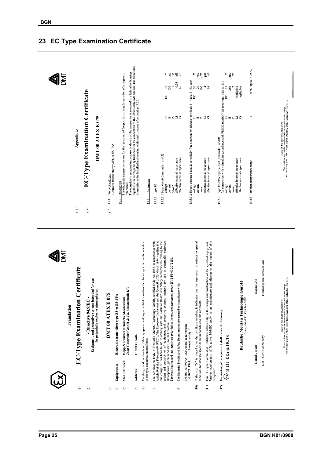

## **23 EC Type Examination Certificate**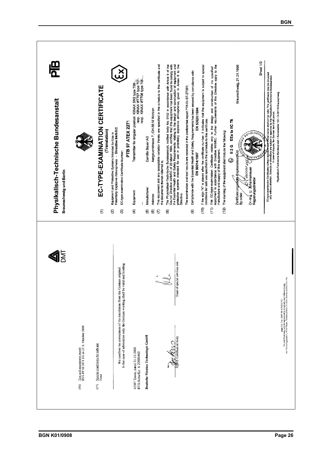| <u>ක</u><br>ධ<br>Physikalisch-Technische Bundesanstalt<br>Braunschweig und Berlin |                                                                                                           | EC-TYPE-EXAMINATION CERTIFICATE<br>(Translation)<br>$\widehat{\epsilon}$ | $\mathbf{x}$<br>PTB 97 ATEX 2271<br>Potentially Explosive Atmospheres - Directive 94/9/EC<br>Equipment and Protective Systems Intended for Use in<br>EC-type-examination Certificate Number:<br>Q<br>ම | Transmitter for angular position KINAX 3M2 type 708-<br>- resp. KINAX WIT707 type 707<br>- resp. KINAX WIT706 type 706-<br>Equipment:<br>£ | Camille Bauer AG<br>Manufacturer:<br>O | This equipment and any acceptable variation thereto are specified in the schedule to this certificate and<br>Aargauerstrasse 7, CH-5610 Wohlen<br>the documents therein referred to.<br>Address:<br>$\widehat{\mathbf{e}}$<br>$\epsilon$ | The Physikalisch-Technische Bundesanstalt, notified body No. 0102 in accordance with Article 9 of the Council Market State of the Council Market State of the Council Market State of the Council Market State of the Council<br>Directive<br>ම | Compliance with the Essential Health and Safety Requirements has been assured by compliance with:<br>The examination and test results are recorded in the confidential report PTB Ex 97-27381.<br>EN 50020:1994<br>EN 50014:1997<br>ම | If the sign "X" is placed after the certificate number, it indicates that the equipment is subject to special<br>conditions for safe use specified in the schedule to this certificate.<br>ê | This EC-type-examination Certificate relates only to the design and construction of the specified<br>equipment in accordance with Directive 94/9/EC. Further requirements of this Directive apply to the<br>manufacture and supply of this equipment.<br>Ê | The marking of the equipment shall include the following:<br>$\widehat{E}$ | Sheet 1/3<br>Braunschweig, 21.01.1998<br>EEx ia IIC T6<br>C. Michigan<br>12G<br>Zertifizierungsstelije Explosionsschutz<br>HOSTIVAIS N<br>٨<br>fert accord<br>Dr-Ing. U. Johannsmeyer<br>Regierungsdirektor<br>By order | $\sum_{\text{C}-\text{Vpp}\text{-}e$ aaminaaton Cerrificates without algitude the $\sum_{\text{C}-\text{Vpp}\text{-}e} \sum_{\text{C}-\text{Vpp}\text{-}e} \sum_{\text{C}-\text{Vpp}\text{-}e} \sum_{\text{C}-\text{Vpp}\text{-}e} \sum_{\text{C}-\text{Vpp}\text{-}e} \sum_{\text{C}-\text{Vpp}\text{-}e} \sum_{\text{C}-\text{Vpp}\text{-}e} \sum_{\text{C}-\text{Vpp}\text{-}e} \sum_{$ | Physikalisch-Technische Bundesanstalt · Bundesallee 100 · D-38116 Braunschweig                                                                                                                         |  |
|-----------------------------------------------------------------------------------|-----------------------------------------------------------------------------------------------------------|--------------------------------------------------------------------------|--------------------------------------------------------------------------------------------------------------------------------------------------------------------------------------------------------|--------------------------------------------------------------------------------------------------------------------------------------------|----------------------------------------|------------------------------------------------------------------------------------------------------------------------------------------------------------------------------------------------------------------------------------------|-------------------------------------------------------------------------------------------------------------------------------------------------------------------------------------------------------------------------------------------------|---------------------------------------------------------------------------------------------------------------------------------------------------------------------------------------------------------------------------------------|----------------------------------------------------------------------------------------------------------------------------------------------------------------------------------------------|------------------------------------------------------------------------------------------------------------------------------------------------------------------------------------------------------------------------------------------------------------|----------------------------------------------------------------------------|-------------------------------------------------------------------------------------------------------------------------------------------------------------------------------------------------------------------------|--------------------------------------------------------------------------------------------------------------------------------------------------------------------------------------------------------------------------------------------------------------------------------------------------------------------------------------------------------------------------------------------|--------------------------------------------------------------------------------------------------------------------------------------------------------------------------------------------------------|--|
| $\overline{\overline{\text{M}}}$                                                  | $\underline{\text{Test}}$ and assessment report BVS PP 00.2071 EG as of 31. Oktober 2000<br>$\frac{1}{2}$ | Special conditions for safe use<br>None<br>(17)                          | In the case of arbitration only the German wording shall be valid and binding.<br>We confirm the correctness of the translation from the German original                                               | 45307 Essen, dated 31.10.2000<br>BVS-Schu/Kn A 20000463                                                                                    | Deutsche Montan Technologie GmbH       |                                                                                                                                                                                                                                          | Head of special services unit<br>The MAD<br>TIMT-Certification body                                                                                                                                                                             |                                                                                                                                                                                                                                       |                                                                                                                                                                                              |                                                                                                                                                                                                                                                            |                                                                            |                                                                                                                                                                                                                         |                                                                                                                                                                                                                                                                                                                                                                                            | 2-1716<br>page 3 of 3 to DMT00 ATEX E 075<br>This certificate may only be reproduced in its emirety and without change.<br>Am Technologiepack 1, 45307 Essen. Telefon (0201)172-1416, Telefax (0201)17 |  |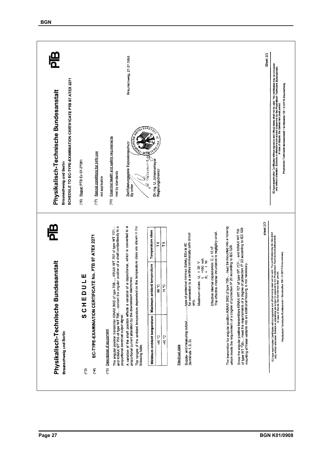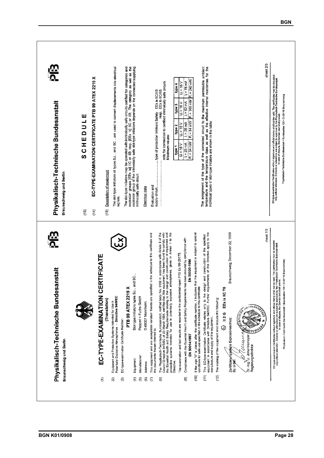| Physikalisch-Technische Bundesanstalt<br>Braunschweig und Berlin<br><u>이</u> | EC-TYPE-EXAMINATION CERTIFICATE PTB 99 ATEX 2219 X<br>SCHEDULE<br>(13)<br>(14) | The slot-type initiators of types SJ and SC are used to convert displacements into electrical<br>Description of equipment<br>signals.<br>$\frac{6}{5}$                                        | The stot-type initiators may be operated with intrinsically safe circuits certified for categories and<br>explosion groups [EEx ia] IIC or IIB resp. [EEx ib] IIC or IIB. The category as well as the<br>explosion group of the intr<br>intrinsically safe drouit.<br>Electrical data | $l_i = 76$ mA<br>only for connection to certified intrinsically safe circuits<br>$U_i = 16V$<br>type 4<br>$k = 52$ mA<br>$U = 16V$<br>type 3<br>$l_1 = 25$ mA<br>$U_1 = 16 V$<br>type 2<br>Maximum values:<br>$  = 25$ mA<br>U = 16 V<br>type 1<br>Evaluation and                                                                                                                                                                                                                                                                                                                                                                                                                                                                                                                                                                                 | The assignment of the type of the connected circuit to the maximum permissible ambient<br>temperature and the temperature class as well as the effective internal reactances for the<br>$P_1 = 242$ mW<br>$P_i = 169$ mW<br>$P_i = 64$ mW<br>individual types of slot-type intiators are shown in the table:<br>$P_1 = 34$ mW                                                                                                                                                                                  | sheet 2/3<br>sheet 1/3                                                                                                                                                                                                                                       | EC-type-axamination Cordificates without signature and official stamp shall not be valid. The conficiates may be circulated<br>conjuy-whout alteration. Extracts or in case of risputs, the German ceat and a prevail asial soft-<br>Physikalisch-Technische Bundesanstalt • Bundesallee 100 • D-38116 Braunschweig                                                                                             |
|------------------------------------------------------------------------------|--------------------------------------------------------------------------------|-----------------------------------------------------------------------------------------------------------------------------------------------------------------------------------------------|---------------------------------------------------------------------------------------------------------------------------------------------------------------------------------------------------------------------------------------------------------------------------------------|---------------------------------------------------------------------------------------------------------------------------------------------------------------------------------------------------------------------------------------------------------------------------------------------------------------------------------------------------------------------------------------------------------------------------------------------------------------------------------------------------------------------------------------------------------------------------------------------------------------------------------------------------------------------------------------------------------------------------------------------------------------------------------------------------------------------------------------------------|----------------------------------------------------------------------------------------------------------------------------------------------------------------------------------------------------------------------------------------------------------------------------------------------------------------------------------------------------------------------------------------------------------------------------------------------------------------------------------------------------------------|--------------------------------------------------------------------------------------------------------------------------------------------------------------------------------------------------------------------------------------------------------------|-----------------------------------------------------------------------------------------------------------------------------------------------------------------------------------------------------------------------------------------------------------------------------------------------------------------------------------------------------------------------------------------------------------------|
| stalt<br>Physikalisch-Technische Bundesar<br>Braunschweig und Berlin         | EC-TYPE-EXAMINATION CERTIFICATE                                                | Ă<br>Potentially Explosive Atmospheres - Directive 94/9/EC<br>(Translation)<br>Equipment and Protective Systems Intended for Use in<br>EC-type-examination Certificate Number:<br>ε<br>ହ<br>ම | ပ္တ<br>Slot-type initiators types SJ and<br>PTB 99 ATEX 2219 X<br>Pepperl + Fuchs GmbH<br>D-68307 Mannheim<br>Manufacturer:<br>Equipment:<br>Address:<br>£<br>$\widehat{\mathbf{e}}$<br>0                                                                                             | spheres, given in Annex II to the<br>This equipment and any acceptable variation thereto are specified in the schedule to this certificate and<br>in accordance with Article 9 of the<br>and construction of equipment and<br>ment has been found to comply with<br>Compliance with the Essential Health and Safety Requirements has been assured by compliance with:<br>The examination and test results are recorded in the confidential report PTB Ex 99-29175.<br>The Physikalisch-Technische Bundesanstalt, notified body No. 0102<br>Council Directive 94/9/EC of 23 March 1984, certifies that this equipments Essential Health and Safety Requirements relating to the design<br>the Essential Health and Safety Requirements relating to the design<br>protective syst<br>the documents therein referred to.<br>Directive<br>ම<br>E<br>ම | equipment in accordance with Directive 94/9/EC. Further requirements of this Directive apply to the<br>If the sign "X" is placed after the certificate number, it indicates that the equipment is subject to special<br>and construction of the specified<br>EN 50020:1994<br>to the design<br>conditions for safe use specified in the schedule to this certificate.<br>This EC-type-examination Certificate relates only<br>manufacture and supply of this equipment.<br>EN 50014:1997<br>ĝ<br>$\widehat{E}$ | Braunschweig, December 22, 1999<br>EEx ia IIC T6<br>The marking of the equipment shall include the following:<br><b>SUITESANS</b><br><b>READISCRA</b><br>12G<br>×,<br>BELLA HISTER<br>٨<br>auun<br>U. Johannsmeyer<br>Regierungsdirektor<br>Dr.-Ing.<br>(12) | valid. The certificates may be circulated<br>sikalisch-Technische Bundesanstatt.<br>38116 Braunschweig<br>Physikalisch-Technische §undesanstalt • Bundesallee 100 • D-3<br>EC-type-examination Certificates without signature and official stamp shall not be v<br>- Chily Without alteration: Extracts or alterators abused in the domain text shall previ<br>- Chily Without alteration: Extracts or alterato |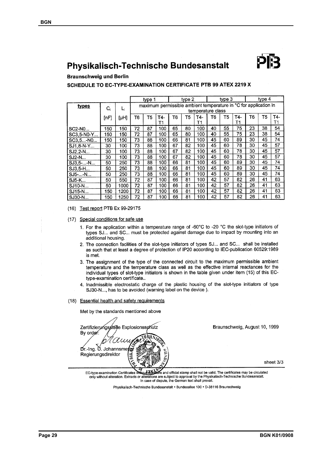# Physikalisch-Technische Bundesanstalt

**Braunschweig und Berlin** 

## SCHEDULE TO EC-TYPE-EXAMINATION CERTIFICATE PTB 99 ATEX 2219 X

|               | type 1 |      |                                                                                       | type 2 |           |    | type 3 |           |    | tvpe 4 |           |    |    |           |
|---------------|--------|------|---------------------------------------------------------------------------------------|--------|-----------|----|--------|-----------|----|--------|-----------|----|----|-----------|
| types         | $C_i$  |      | maximum permissible ambient temperature in °C for application in<br>temperature class |        |           |    |        |           |    |        |           |    |    |           |
|               | [nF]   | [µH] | Т6                                                                                    | T5     | T4-<br>Т1 | T6 | T5     | T4-<br>Τ1 | Т6 | T5     | T4-<br>Τ1 | Т6 | T5 | T4-<br>Т1 |
| <b>SC2-NO</b> | 150    | 150  | 72                                                                                    | 87     | 100       | 65 | 80     | 100       | 40 | 55     | 75        | 23 | 38 | 54        |
| SC3,5-N0-Y    | 150    | 50   | 72                                                                                    | 87     | 100       | 65 | 80     | 100       | 40 | 55     | 75        | 23 | 38 | 54        |
| SC3.5-NO      | 150    | 150  | 73                                                                                    | 88     | 100       | 66 | 81     | 100       | 45 | 60     | 89        | 30 | 45 | 74        |
| SJ1,8-N-Y     | 30     | 100  | 73                                                                                    | 88     | 100       | 67 | 82     | 100       | 45 | 60     | 78        | 30 | 45 | 57        |
| $SJ2,2-N$     | 30     | 100  | 73                                                                                    | 88     | 100       | 67 | 82     | 100       | 45 | 60     | 78        | 30 | 45 | 57        |
| $SJ2-N$       | 30     | 100  | 73                                                                                    | 88     | 100       | 67 | 82     | 100       | 45 | 60     | 78        | 30 | 45 | 57        |
| SJ3,5N        | 50     | 250  | 73                                                                                    | 88     | 100       | 66 | 81     | 100       | 45 | 60     | 89        | 30 | 45 | 74        |
| SJ3,5-H       | 50     | 250  | 73                                                                                    | 88     | 100       | 66 | 81     | 100       | 45 | 60     | 89        | 30 | 45 | 74        |
| SJ5--N        | 50     | 250  | 73                                                                                    | 88     | 100       | 66 | 81     | 100       | 45 | 60     | 89        | 30 | 45 | 74        |
| <b>SJ5-K</b>  | 50     | 550  | 72                                                                                    | 87     | 100       | 66 | 81     | 100       | 42 | 57     | 82        | 26 | 41 | 63        |
| SJ10-N        | 50     | 1000 | 72                                                                                    | 87     | 100       | 66 | 81     | 100       | 42 | 57     | 82        | 26 | 41 | 63        |
| SJ15-N        | 150    | 1200 | 72                                                                                    | 87     | 100       | 66 | 81     | 100       | 42 | 57     | 82        | 26 | 41 | 63        |
| SJ30-N        | 150    | 1250 | 72                                                                                    | 87     | 100       | 66 | 81     | 100       | 42 | 57     | 82        | 26 | 41 | 63        |

(16) Test report PTB Ex 99-29175

(17) Special conditions for safe use

- 1. For the application within a temperature range of -60°C to -20 °C the slot-type initiators of types SJ... and SC... must be protected against damage due to impact by mounting into an additional housing.
- 2. The connection facilities of the slot-type initiators of types SJ... and SC... shall be installed as such that at least a degree of protection of IP20 according to IEC-publication 60529:1989 is met.
- 3. The assignment of the type of the connected circuit to the maximum permissible ambient temperature and the temperature class as well as the effective internal reactances for the individual types of slot-type initiators is shown in the table given under item (15) of this ECtype-examination certificate..
- 4. Inadmissible electrostatic charge of the plastic housing of the slot-type initiators of type SJ30-N..., has to be avoided (warning label on the device).

(18) Essential health and safety requirements

Met by the standards mentioned above

Zertifizierungsstelle Explosionsschutz By order: Dr.-Ing. U. Johannsme Regierungsdirektor

Braunschweig, August 10, 1999

sheet 3/3

are and official stamp shall not be valid. The certificates may be circulated EC-type-examination Certificates only without alteration. Extracts or alt erations are subject to approval by the Physikalisch-Technische Bundesanstalt. In case of dispute, the German text shall prevail.

Physikalisch-Technische Bundesanstalt · Bundesallee 100 · D-38116 Braunschweig